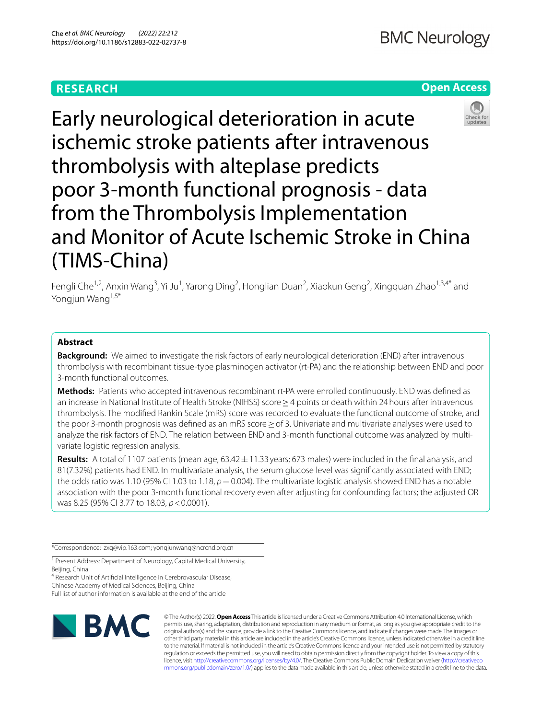# **RESEARCH**

# **Open Access**



Early neurological deterioration in acute ischemic stroke patients after intravenous thrombolysis with alteplase predicts poor 3-month functional prognosis - data from the Thrombolysis Implementation and Monitor of Acute Ischemic Stroke in China (TIMS-China)

Fengli Che<sup>1,2</sup>, Anxin Wang<sup>3</sup>, Yi Ju<sup>1</sup>, Yarong Ding<sup>2</sup>, Honglian Duan<sup>2</sup>, Xiaokun Geng<sup>2</sup>, Xingquan Zhao<sup>1,3,4\*</sup> and Yongjun Wang<sup>1,5\*</sup>

## **Abstract**

**Background:** We aimed to investigate the risk factors of early neurological deterioration (END) after intravenous thrombolysis with recombinant tissue-type plasminogen activator (rt-PA) and the relationship between END and poor 3-month functional outcomes.

**Methods:** Patients who accepted intravenous recombinant rt-PA were enrolled continuously. END was defned as an increase in National Institute of Health Stroke (NIHSS) score≥4 points or death within 24hours after intravenous thrombolysis. The modifed Rankin Scale (mRS) score was recorded to evaluate the functional outcome of stroke, and the poor 3-month prognosis was defined as an mRS score ≥ of 3. Univariate and multivariate analyses were used to analyze the risk factors of END. The relation between END and 3-month functional outcome was analyzed by multivariate logistic regression analysis.

**Results:** A total of 1107 patients (mean age, 63.42±11.33 years; 673 males) were included in the fnal analysis, and 81(7.32%) patients had END. In multivariate analysis, the serum glucose level was signifcantly associated with END; the odds ratio was 1.10 (95% CI 1.03 to 1.18,  $p = 0.004$ ). The multivariate logistic analysis showed END has a notable association with the poor 3-month functional recovery even after adjusting for confounding factors; the adjusted OR was 8.25 (95% CI 3.77 to 18.03, *p*<0.0001).

\*Correspondence: zxq@vip.163.com; yongjunwang@ncrcnd.org.cn

<sup>1</sup> Present Address: Department of Neurology, Capital Medical University, Beijing, China

<sup>4</sup> Research Unit of Artificial Intelligence in Cerebrovascular Disease, Chinese Academy of Medical Sciences, Beijing, China

Full list of author information is available at the end of the article



© The Author(s) 2022. **Open Access** This article is licensed under a Creative Commons Attribution 4.0 International License, which permits use, sharing, adaptation, distribution and reproduction in any medium or format, as long as you give appropriate credit to the original author(s) and the source, provide a link to the Creative Commons licence, and indicate if changes were made. The images or other third party material in this article are included in the article's Creative Commons licence, unless indicated otherwise in a credit line to the material. If material is not included in the article's Creative Commons licence and your intended use is not permitted by statutory regulation or exceeds the permitted use, you will need to obtain permission directly from the copyright holder. To view a copy of this licence, visit [http://creativecommons.org/licenses/by/4.0/.](http://creativecommons.org/licenses/by/4.0/) The Creative Commons Public Domain Dedication waiver ([http://creativeco](http://creativecommons.org/publicdomain/zero/1.0/) [mmons.org/publicdomain/zero/1.0/](http://creativecommons.org/publicdomain/zero/1.0/)) applies to the data made available in this article, unless otherwise stated in a credit line to the data.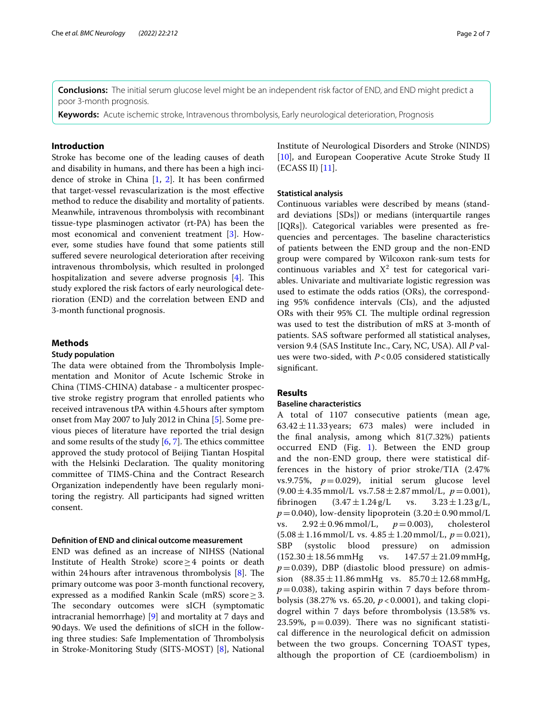**Conclusions:** The initial serum glucose level might be an independent risk factor of END, and END might predict a poor 3-month prognosis.

**Keywords:** Acute ischemic stroke, Intravenous thrombolysis, Early neurological deterioration, Prognosis

## **Introduction**

Stroke has become one of the leading causes of death and disability in humans, and there has been a high incidence of stroke in China [\[1](#page-6-0), [2\]](#page-6-1). It has been confrmed that target-vessel revascularization is the most efective method to reduce the disability and mortality of patients. Meanwhile, intravenous thrombolysis with recombinant tissue-type plasminogen activator (rt-PA) has been the most economical and convenient treatment [\[3](#page-6-2)]. However, some studies have found that some patients still suffered severe neurological deterioration after receiving intravenous thrombolysis, which resulted in prolonged hospitalization and severe adverse prognosis  $[4]$  $[4]$ . This study explored the risk factors of early neurological deterioration (END) and the correlation between END and 3-month functional prognosis.

## **Methods**

#### **Study population**

The data were obtained from the Thrombolysis Implementation and Monitor of Acute Ischemic Stroke in China (TIMS-CHINA) database - a multicenter prospective stroke registry program that enrolled patients who received intravenous tPA within 4.5hours after symptom onset from May 2007 to July 2012 in China [[5\]](#page-6-4). Some previous pieces of literature have reported the trial design and some results of the study  $[6, 7]$  $[6, 7]$  $[6, 7]$  $[6, 7]$ . The ethics committee approved the study protocol of Beijing Tiantan Hospital with the Helsinki Declaration. The quality monitoring committee of TIMS-China and the Contract Research Organization independently have been regularly monitoring the registry. All participants had signed written consent.

## **Defnition of END and clinical outcome measurement**

END was defned as an increase of NIHSS (National Institute of Health Stroke) score≥4 points or death within 24 hours after intravenous thrombolysis  $[8]$  $[8]$ . The primary outcome was poor 3-month functional recovery, expressed as a modifed Rankin Scale (mRS) score≥3. The secondary outcomes were sICH (symptomatic intracranial hemorrhage) [\[9\]](#page-6-8) and mortality at 7 days and 90days. We used the defnitions of sICH in the following three studies: Safe Implementation of Thrombolysis in Stroke-Monitoring Study (SITS-MOST) [\[8](#page-6-7)], National Institute of Neurological Disorders and Stroke (NINDS) [[10\]](#page-6-9), and European Cooperative Acute Stroke Study II (ECASS II) [\[11](#page-6-10)].

## **Statistical analysis**

Continuous variables were described by means (standard deviations [SDs]) or medians (interquartile ranges [IQRs]). Categorical variables were presented as frequencies and percentages. The baseline characteristics of patients between the END group and the non-END group were compared by Wilcoxon rank-sum tests for continuous variables and  $X^2$  test for categorical variables. Univariate and multivariate logistic regression was used to estimate the odds ratios (ORs), the corresponding 95% confdence intervals (CIs), and the adjusted ORs with their 95% CI. The multiple ordinal regression was used to test the distribution of mRS at 3-month of patients. SAS software performed all statistical analyses, version 9.4 (SAS Institute Inc., Cary, NC, USA). All *P* values were two-sided, with *P*<0.05 considered statistically signifcant.

## **Results**

### **Baseline characteristics**

A total of 1107 consecutive patients (mean age,  $63.42 \pm 11.33$  years; 673 males) were included in the fnal analysis, among which 81(7.32%) patients occurred END (Fig. [1\)](#page-2-0). Between the END group and the non-END group, there were statistical differences in the history of prior stroke/TIA (2.47% vs.9.75%,  $p=0.029$ ), initial serum glucose level  $(9.00 \pm 4.35 \text{ mmol/L vs. } 7.58 \pm 2.87 \text{ mmol/L}, p = 0.001),$ <br>fibrinogen  $(3.47 \pm 1.24 \text{ g/L} \text{ vs. } 3.23 \pm 1.23 \text{ g/L},$  $(3.47 \pm 1.24 \text{ g/L})$  $p = 0.040$ ), low-density lipoprotein (3.20 $\pm$ 0.90 mmol/L<br>vs. 2.92 $\pm$ 0.96 mmol/L,  $p = 0.003$ ), cholesterol  $2.92 \pm 0.96$  mmol/L,  $(5.08 \pm 1.16 \text{ mmol/L vs. } 4.85 \pm 1.20 \text{ mmol/L}, p=0.021),$ <br>SBP (systolic blood pressure) on admission pressure) on admission  $(152.30 \pm 18.56 \text{ mmHg}$  vs.  $147.57 \pm 21.09 \text{ mmHg}$ ,  $p = 0.039$ ), DBP (diastolic blood pressure) on admission  $(88.35 \pm 11.86 \text{ mmHg}$  vs.  $85.70 \pm 12.68 \text{ mmHg}$ ,  $p=0.038$ ), taking aspirin within 7 days before thrombolysis (38.27% vs. 65.20, *p* < 0.0001), and taking clopidogrel within 7 days before thrombolysis (13.58% vs. 23.59%,  $p = 0.039$ ). There was no significant statistical diference in the neurological defcit on admission between the two groups. Concerning TOAST types, although the proportion of CE (cardioembolism) in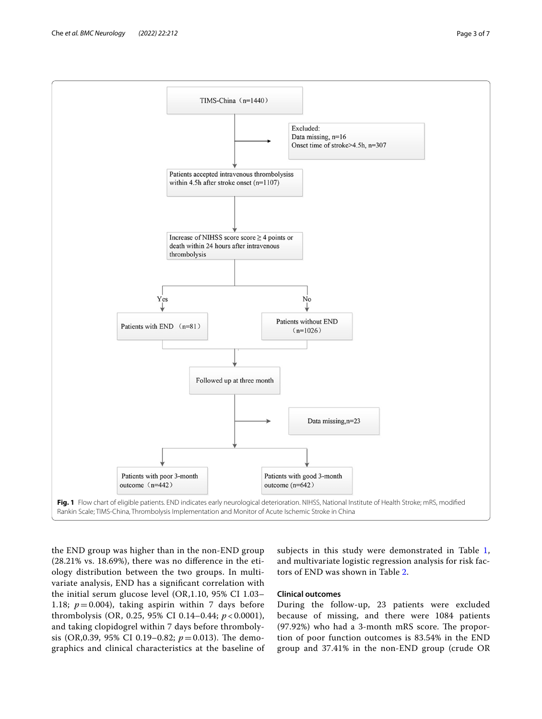

<span id="page-2-0"></span>the END group was higher than in the non-END group (28.21% vs. 18.69%), there was no diference in the etiology distribution between the two groups. In multivariate analysis, END has a signifcant correlation with the initial serum glucose level (OR,1.10, 95% CI 1.03– 1.18;  $p = 0.004$ ), taking aspirin within 7 days before thrombolysis (OR, 0.25, 95% CI 0.14–0.44; *p* < 0.0001), and taking clopidogrel within 7 days before thrombolysis (OR,0.39, 95% CI 0.19–0.82;  $p = 0.013$ ). The demographics and clinical characteristics at the baseline of

subjects in this study were demonstrated in Table [1](#page-3-0), and multivariate logistic regression analysis for risk factors of END was shown in Table [2](#page-4-0).

## **Clinical outcomes**

During the follow-up, 23 patients were excluded because of missing, and there were 1084 patients  $(97.92%)$  who had a 3-month mRS score. The proportion of poor function outcomes is 83.54% in the END group and 37.41% in the non-END group (crude OR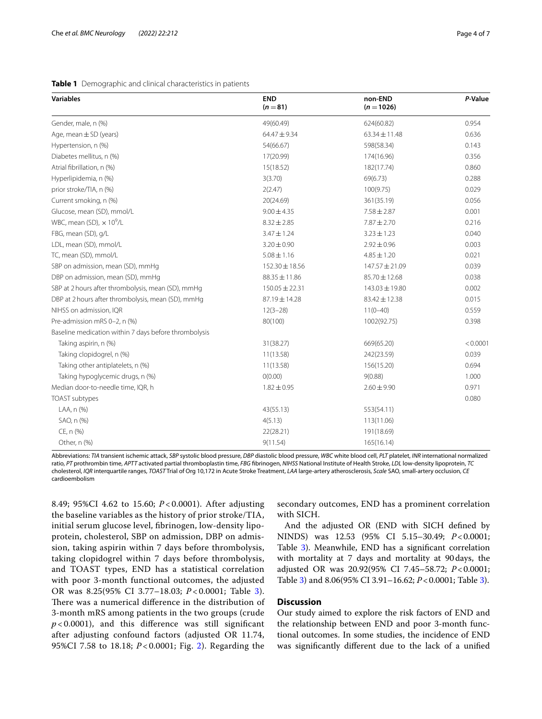#### <span id="page-3-0"></span>**Table 1** Demographic and clinical characteristics in patients

| <b>Variables</b>                                      | <b>END</b><br>$(n = 81)$ | non-END<br>$(n = 1026)$ | P-Value  |  |
|-------------------------------------------------------|--------------------------|-------------------------|----------|--|
| Gender, male, n (%)                                   | 49(60.49)                | 624(60.82)              | 0.954    |  |
| Age, mean $\pm$ SD (years)                            | $64.47 \pm 9.34$         | $63.34 \pm 11.48$       | 0.636    |  |
| Hypertension, n (%)                                   | 54(66.67)                | 598(58.34)              | 0.143    |  |
| Diabetes mellitus, n (%)                              | 17(20.99)                | 174(16.96)              | 0.356    |  |
| Atrial fibrillation, n (%)                            | 15(18.52)                | 182(17.74)              | 0.860    |  |
| Hyperlipidemia, n (%)                                 | 3(3.70)                  | 69(6.73)                | 0.288    |  |
| prior stroke/TIA, n (%)                               | 2(2.47)                  | 100(9.75)               | 0.029    |  |
| Current smoking, n (%)                                | 20(24.69)                | 361(35.19)              | 0.056    |  |
| Glucose, mean (SD), mmol/L                            | $9.00 \pm 4.35$          | $7.58 \pm 2.87$         | 0.001    |  |
| WBC, mean (SD), $\times$ 10 <sup>9</sup> /L           | $8.32 \pm 2.85$          | $7.87 \pm 2.70$         | 0.216    |  |
| FBG, mean (SD), g/L                                   | $3.47 \pm 1.24$          | $3.23 \pm 1.23$         | 0.040    |  |
| LDL, mean (SD), mmol/L                                | $3.20 \pm 0.90$          | $2.92 \pm 0.96$         | 0.003    |  |
| TC, mean (SD), mmol/L                                 | $5.08 \pm 1.16$          | $4.85 \pm 1.20$         | 0.021    |  |
| SBP on admission, mean (SD), mmHq                     | 152.30 ± 18.56           | 147.57 ± 21.09          | 0.039    |  |
| DBP on admission, mean (SD), mmHg                     | $88.35 \pm 11.86$        | 85.70 ± 12.68           | 0.038    |  |
| SBP at 2 hours after thrombolysis, mean (SD), mmHg    | $150.05 \pm 22.31$       | $143.03 \pm 19.80$      | 0.002    |  |
| DBP at 2 hours after thrombolysis, mean (SD), mmHg    | 87.19±14.28              | $83.42 \pm 12.38$       | 0.015    |  |
| NIHSS on admission, IQR                               | $12(3-28)$               | $11(0-40)$              | 0.559    |  |
| Pre-admission mRS 0-2, n (%)                          | 80(100)                  | 1002(92.75)             | 0.398    |  |
| Baseline medication within 7 days before thrombolysis |                          |                         |          |  |
| Taking aspirin, n (%)                                 | 31(38.27)                | 669(65.20)              | < 0.0001 |  |
| Taking clopidogrel, n (%)                             | 11(13.58)                | 242(23.59)              | 0.039    |  |
| Taking other antiplatelets, n (%)                     | 11(13.58)                | 156(15.20)              | 0.694    |  |
| Taking hypoglycemic drugs, n (%)                      | O(0.00)                  | 9(0.88)                 | 1.000    |  |
| Median door-to-needle time, IQR, h                    | $1.82 \pm 0.95$          | $2.60 \pm 9.90$         | 0.971    |  |
| TOAST subtypes                                        |                          |                         | 0.080    |  |
| LAA, n (%)                                            | 43(55.13)                | 553(54.11)              |          |  |
| SAO, n (%)                                            | 4(5.13)                  | 113(11.06)              |          |  |
| CE, n (%)                                             | 22(28.21)                | 191(18.69)              |          |  |
| Other, n (%)                                          | 9(11.54)                 | 165(16.14)              |          |  |

Abbreviations: *TIA* transient ischemic attack, *SBP* systolic blood pressure, *DBP* diastolic blood pressure, *WBC* white blood cell, *PLT* platelet, *INR* international normalized ratio, *PT* prothrombin time, *APTT* activated partial thromboplastin time, *FBG* fbrinogen, *NIHSS* National Institute of Health Stroke, *LDL* low-density lipoprotein, *TC* cholesterol, *IQR* interquartile ranges, *TOAST* Trial of Org 10,172 in Acute Stroke Treatment, *LAA* large-artery atherosclerosis, *Scale* SAO, small-artery occlusion, *CE* cardioembolism

8.49; 95%CI 4.62 to 15.60; *P* < 0.0001). After adjusting the baseline variables as the history of prior stroke/TIA, initial serum glucose level, fbrinogen, low-density lipoprotein, cholesterol, SBP on admission, DBP on admission, taking aspirin within 7 days before thrombolysis, taking clopidogrel within 7 days before thrombolysis, and TOAST types, END has a statistical correlation with poor 3-month functional outcomes, the adjusted OR was 8.25(95% CI 3.77–18.03; *P* < 0.0001; Table [3\)](#page-4-1). There was a numerical difference in the distribution of 3-month mRS among patients in the two groups (crude  $p$  < 0.0001), and this difference was still significant after adjusting confound factors (adjusted OR 11.74, 95%CI 7.58 to 18.18; *P* < 0.0001; Fig. [2](#page-4-2)). Regarding the

secondary outcomes, END has a prominent correlation with SICH.

And the adjusted OR (END with SICH defned by NINDS) was 12.53 (95% CI 5.15–30.49; *P*<0.0001; Table [3\)](#page-4-1). Meanwhile, END has a signifcant correlation with mortality at 7 days and mortality at 90days, the adjusted OR was 20.92(95% CI 7.45–58.72; *P*<0.0001; Table [3](#page-4-1)) and 8.06(95% CI 3.91–16.62; *P*<0.0001; Table [3](#page-4-1)).

## **Discussion**

Our study aimed to explore the risk factors of END and the relationship between END and poor 3-month functional outcomes. In some studies, the incidence of END was signifcantly diferent due to the lack of a unifed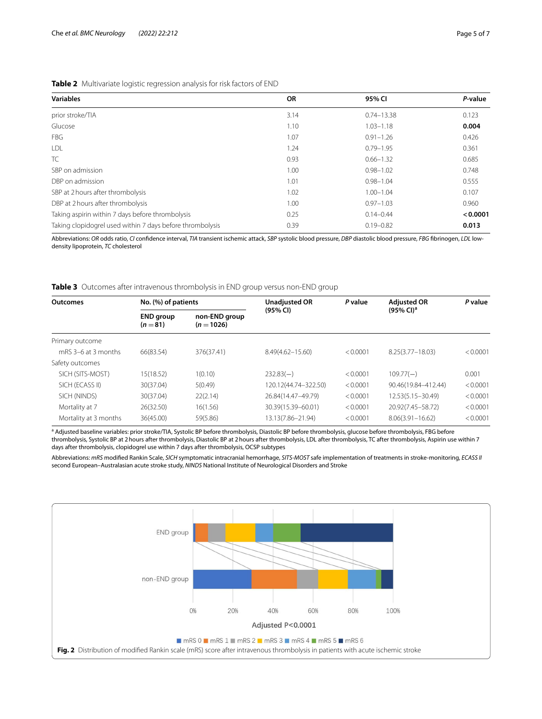<span id="page-4-0"></span>

| <b>Variables</b>                                          | <b>OR</b> | 95% CI         | P-value  |
|-----------------------------------------------------------|-----------|----------------|----------|
| prior stroke/TIA                                          | 3.14      | $0.74 - 13.38$ | 0.123    |
| Glucose                                                   | 1.10      | $1.03 - 1.18$  | 0.004    |
| <b>FBG</b>                                                | 1.07      | $0.91 - 1.26$  | 0.426    |
| LDL                                                       | 1.24      | $0.79 - 1.95$  | 0.361    |
| TC                                                        | 0.93      | $0.66 - 1.32$  | 0.685    |
| SBP on admission                                          | 1.00      | $0.98 - 1.02$  | 0.748    |
| DBP on admission                                          | 1.01      | $0.98 - 1.04$  | 0.555    |
| SBP at 2 hours after thrombolysis                         | 1.02      | $1.00 - 1.04$  | 0.107    |
| DBP at 2 hours after thrombolysis                         | 1.00      | $0.97 - 1.03$  | 0.960    |
| Taking aspirin within 7 days before thrombolysis          | 0.25      | $0.14 - 0.44$  | < 0.0001 |
| Taking clopidogrel used within 7 days before thrombolysis | 0.39      | $0.19 - 0.82$  | 0.013    |

Abbreviations: *OR* odds ratio, *CI* confdence interval, *TIA* transient ischemic attack, *SBP* systolic blood pressure, *DBP* diastolic blood pressure, *FBG* fbrinogen, *LDL* lowdensity lipoprotein, *TC* cholesterol

<span id="page-4-1"></span>**Table 3** Outcomes after intravenous thrombolysis in END group versus non-END group

| <b>Outcomes</b>       | No. (%) of patients          |                               | <b>Unadjusted OR</b> | P value  | <b>Adjusted OR</b>       | P value  |
|-----------------------|------------------------------|-------------------------------|----------------------|----------|--------------------------|----------|
|                       | <b>END</b> group<br>$(n=81)$ | non-END group<br>$(n = 1026)$ | (95% CI)             |          | $(95\%$ CI) <sup>a</sup> |          |
| Primary outcome       |                              |                               |                      |          |                          |          |
| mRS 3–6 at 3 months   | 66(83.54)                    | 376(37.41)                    | $8.49(4.62 - 15.60)$ | < 0.0001 | $8.25(3.77 - 18.03)$     | < 0.0001 |
| Safety outcomes       |                              |                               |                      |          |                          |          |
| SICH (SITS-MOST)      | 15(18.52)                    | 1(0.10)                       | $232.83(-)$          | < 0.0001 | $109.77(-)$              | 0.001    |
| SICH (ECASS II)       | 30(37.04)                    | 5(0.49)                       | 120.12(44.74-322.50) | < 0.0001 | 90.46(19.84-412.44)      | < 0.0001 |
| SICH (NINDS)          | 30(37.04)                    | 22(2.14)                      | 26.84(14.47-49.79)   | < 0.0001 | 12.53(5.15-30.49)        | < 0.0001 |
| Mortality at 7        | 26(32.50)                    | 16(1.56)                      | 30.39(15.39-60.01)   | < 0.0001 | 20.92(7.45-58.72)        | < 0.0001 |
| Mortality at 3 months | 36(45.00)                    | 59(5.86)                      | 13.13(7.86–21.94)    | < 0.0001 | $8.06(3.91 - 16.62)$     | < 0.0001 |

<sup>a</sup> Adjusted baseline variables: prior stroke/TIA, Systolic BP before thrombolysis, Diastolic BP before thrombolysis, glucose before thrombolysis, FBG before thrombolysis, Systolic BP at 2 hours after thrombolysis, Diastolic BP at 2 hours after thrombolysis, LDL after thrombolysis, TC after thrombolysis, Aspirin use within 7 days after thrombolysis, clopidogrel use within 7 days after thrombolysis, OCSP subtypes

Abbreviations: *mRS* modifed Rankin Scale, *SICH* symptomatic intracranial hemorrhage, *SITS-MOST* safe implementation of treatments in stroke-monitoring, *ECASS II* second European–Australasian acute stroke study, *NINDS* National Institute of Neurological Disorders and Stroke

<span id="page-4-2"></span>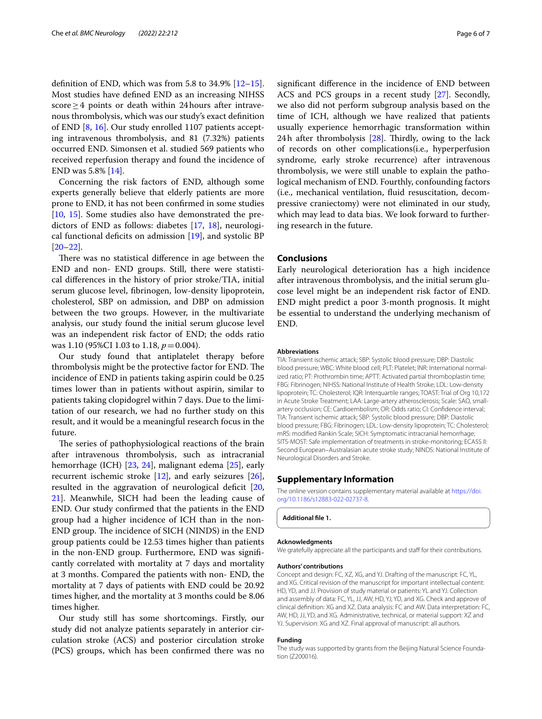definition of END, which was from 5.8 to 34.9%  $[12-15]$  $[12-15]$  $[12-15]$ . Most studies have defned END as an increasing NIHSS score>4 points or death within 24 hours after intravenous thrombolysis, which was our study's exact defnition of END [[8,](#page-6-7) [16\]](#page-6-13). Our study enrolled 1107 patients accepting intravenous thrombolysis, and 81 (7.32%) patients occurred END. Simonsen et al. studied 569 patients who received reperfusion therapy and found the incidence of END was 5.8% [\[14](#page-6-14)].

Concerning the risk factors of END, although some experts generally believe that elderly patients are more prone to END, it has not been confrmed in some studies [[10,](#page-6-9) [15\]](#page-6-12). Some studies also have demonstrated the predictors of END as follows: diabetes [[17,](#page-6-15) [18](#page-6-16)], neurological functional deficits on admission  $[19]$  $[19]$  $[19]$ , and systolic BP [[20–](#page-6-18)[22](#page-6-19)].

There was no statistical difference in age between the END and non- END groups. Still, there were statistical diferences in the history of prior stroke/TIA, initial serum glucose level, fbrinogen, low-density lipoprotein, cholesterol, SBP on admission, and DBP on admission between the two groups. However, in the multivariate analysis, our study found the initial serum glucose level was an independent risk factor of END; the odds ratio was 1.10 (95%CI 1.03 to 1.18,  $p = 0.004$ ).

Our study found that antiplatelet therapy before thrombolysis might be the protective factor for END. The incidence of END in patients taking aspirin could be 0.25 times lower than in patients without aspirin, similar to patients taking clopidogrel within 7 days. Due to the limitation of our research, we had no further study on this result, and it would be a meaningful research focus in the future.

The series of pathophysiological reactions of the brain after intravenous thrombolysis, such as intracranial hemorrhage (ICH) [\[23](#page-6-20), [24\]](#page-6-21), malignant edema [\[25](#page-6-22)], early recurrent ischemic stroke  $[12]$  $[12]$ , and early seizures  $[26]$  $[26]$ , resulted in the aggravation of neurological deficit  $[20,$  $[20,$ [21\]](#page-6-24). Meanwhile, SICH had been the leading cause of END. Our study confrmed that the patients in the END group had a higher incidence of ICH than in the non-END group. The incidence of SICH (NINDS) in the END group patients could be 12.53 times higher than patients in the non-END group. Furthermore, END was signifcantly correlated with mortality at 7 days and mortality at 3 months. Compared the patients with non- END, the mortality at 7 days of patients with END could be 20.92 times higher, and the mortality at 3 months could be 8.06 times higher.

Our study still has some shortcomings. Firstly, our study did not analyze patients separately in anterior circulation stroke (ACS) and posterior circulation stroke (PCS) groups, which has been confrmed there was no signifcant diference in the incidence of END between ACS and PCS groups in a recent study [\[27](#page-6-25)]. Secondly, we also did not perform subgroup analysis based on the time of ICH, although we have realized that patients usually experience hemorrhagic transformation within 24h after thrombolysis  $[28]$  $[28]$ . Thirdly, owing to the lack of records on other complications(i.e., hyperperfusion syndrome, early stroke recurrence) after intravenous thrombolysis, we were still unable to explain the pathological mechanism of END. Fourthly, confounding factors (i.e., mechanical ventilation, fuid resuscitation, decompressive craniectomy) were not eliminated in our study, which may lead to data bias. We look forward to furthering research in the future.

## **Conclusions**

Early neurological deterioration has a high incidence after intravenous thrombolysis, and the initial serum glucose level might be an independent risk factor of END. END might predict a poor 3-month prognosis. It might be essential to understand the underlying mechanism of END.

#### **Abbreviations**

TIA: Transient ischemic attack; SBP: Systolic blood pressure; DBP: Diastolic blood pressure; WBC: White blood cell; PLT: Platelet; INR: International normalized ratio; PT: Prothrombin time; APTT: Activated partial thromboplastin time; FBG: Fibrinogen; NIHSS: National Institute of Health Stroke; LDL: Low-density lipoprotein; TC: Cholesterol; IQR: Interquartile ranges; TOAST: Trial of Org 10,172 in Acute Stroke Treatment; LAA: Large-artery atherosclerosis; Scale: SAO, smallartery occlusion; CE: Cardioembolism; OR: Odds ratio; CI: Confdence interval; TIA: Transient ischemic attack; SBP: Systolic blood pressure; DBP: Diastolic blood pressure; FBG: Fibrinogen; LDL: Low-density lipoprotein; TC: Cholesterol; mRS: modifed Rankin Scale; SICH: Symptomatic intracranial hemorrhage; SITS-MOST: Safe implementation of treatments in stroke-monitoring; ECASS II: Second European–Australasian acute stroke study; NINDS: National Institute of Neurological Disorders and Stroke.

## **Supplementary Information**

The online version contains supplementary material available at [https://doi.](https://doi.org/10.1186/s12883-022-02737-8) [org/10.1186/s12883-022-02737-8](https://doi.org/10.1186/s12883-022-02737-8).

**Additional fle 1.**

#### **Acknowledgments**

We gratefully appreciate all the participants and staff for their contributions.

#### **Authors' contributions**

Concept and design: FC, XZ, XG, and YJ. Drafting of the manuscript: FC, YL, and XG. Critical revision of the manuscript for important intellectual content: HD, YD, and JJ. Provision of study material or patients: YL and YJ. Collection and assembly of data: FC, YL, JJ, AW, HD, YJ, YD, and XG. Check and approve of clinical defnition: XG and XZ. Data analysis: FC and AW. Data interpretation: FC, AW, HD, JJ, YD, and XG. Administrative, technical, or material support: XZ and YJ. Supervision: XG and XZ. Final approval of manuscript: all authors.

#### **Funding**

The study was supported by grants from the Beijing Natural Science Foundation (Z200016).